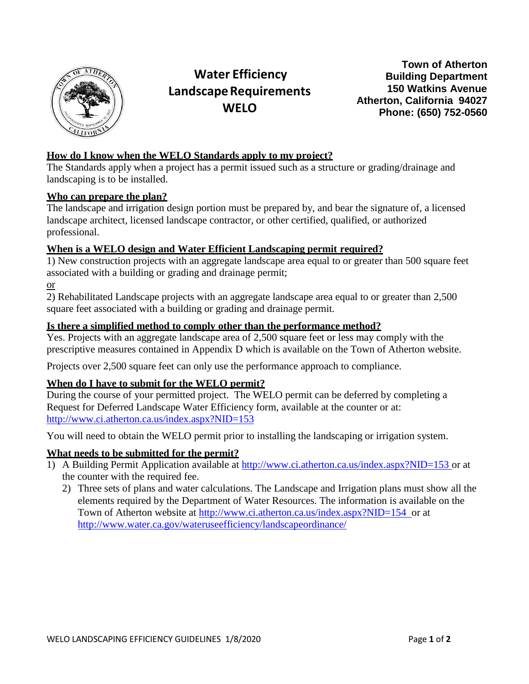

# **Water Efficiency LandscapeRequirements WELO**

**Town of Atherton Building Department 150 Watkins Avenue Atherton, California 94027 Phone: (650) 752-0560**

#### **How do I know when the WELO Standards apply to my project?**

The Standards apply when a project has a permit issued such as a structure or grading/drainage and landscaping is to be installed.

#### **Who can prepare the plan?**

The landscape and irrigation design portion must be prepared by, and bear the signature of, a licensed landscape architect, licensed landscape contractor, or other certified, qualified, or authorized professional.

#### **When is a WELO design and Water Efficient Landscaping permit required?**

1) New construction projects with an aggregate landscape area equal to or greater than 500 square feet associated with a building or grading and drainage permit;

or

2) Rehabilitated Landscape projects with an aggregate landscape area equal to or greater than 2,500 square feet associated with a building or grading and drainage permit.

#### **Is there a simplified method to comply other than the performance method?**

Yes. Projects with an aggregate landscape area of 2,500 square feet or less may comply with the prescriptive measures contained in Appendix D which is available on the Town of Atherton website.

Projects over 2,500 square feet can only use the performance approach to compliance.

## **When do I have to submit for the WELO permit?**

During the course of your permitted project. The WELO permit can be deferred by completing a Request for Deferred Landscape Water Efficiency form, available at the counter or at: <http://www.ci.atherton.ca.us/index.aspx?NID=153>

You will need to obtain the WELO permit prior to installing the landscaping or irrigation system.

## **What needs to be submitted for the permit?**

- 1) A Building Permit Application available at <http://www.ci.atherton.ca.us/index.aspx?NID=153> or at the counter with the required fee.
	- 2) Three sets of plans and water calculations. The Landscape and Irrigation plans must show all the elements required by the Department of Water Resources. The information is available on the Town of Atherton website at <http://www.ci.atherton.ca.us/index.aspx?NID=154> or at <http://www.water.ca.gov/wateruseefficiency/landscapeordinance/>